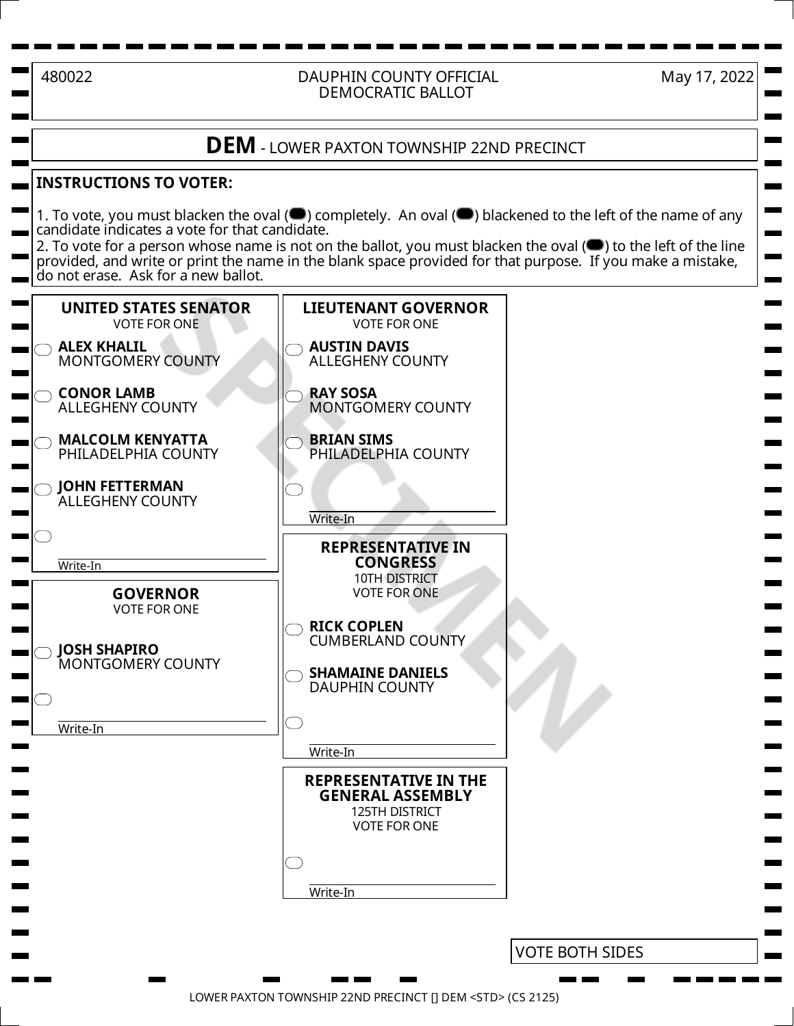## 480022 DAUPHIN COUNTY OFFICIAL DEMOCRATIC BALLOT

## **DEM** - LOWER PAXTON TOWNSHIP 22ND PRECINCT **INSTRUCTIONS TO VOTER:** 1. To vote, you must blacken the oval (●) completely. An oval (●) blackened to the left of the name of any candidate indicates a vote for that candidate. 2. To vote for a person whose name is not on the ballot, you must blacken the oval  $($ **)** to the left of the line provided, and write or print the name in the blank space provided for that purpose. If you make a mistake, do not erase. Ask for a new ballot. **UNITED STATES SENATOR** VOTE FOR ONE **ALEX KHALIL** MONTGOMERY COUNTY **CONOR LAMB** ALLEGHENY COUNTY **MALCOLM KENYATTA** PHILADELPHIA COUNTY **JOHN FETTERMAN** ALLEGHENY COUNTY Write-In **GOVERNOR** VOTE FOR ONE **JOSH SHAPIRO** MONTGOMERY COUNTY Write-In **LIEUTENANT GOVERNOR** VOTE FOR ONE **AUSTIN DAVIS** ALLEGHENY COUNTY **RAY SOSA** MONTGOMERY COUNTY **BRIAN SIMS** PHILADELPHIA COUNTY Write-In **REPRESENTATIVE IN CONGRESS** 10TH DISTRICT VOTE FOR ONE **RICK COPLEN** CUMBERLAND COUNTY **SHAMAINE DANIELS** DAUPHIN COUNTY Write-In **REPRESENTATIVE IN THE GENERAL ASSEMBLY** 125TH DISTRICT VOTE FOR ONE Write-In

VOTE BOTH SIDES